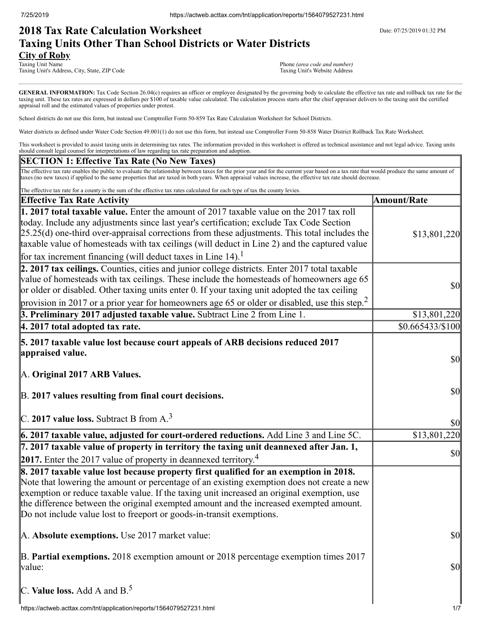# **2018 Tax Rate Calculation Worksheet** Department Date: 07/25/2019 01:32 PM **Taxing Units Other Than School Districts or Water Districts**

**City of Roby**<br>Taxing Unit Name Taxing Unit's Address, City, State, ZIP Code

Phone *(area code and number)*<br>Taxing Unit's Website Address

GENERAL INFORMATION: Tax Code Section 26.04(c) requires an officer or employee designated by the governing body to calculate the effective tax rate and rollback tax rate for the taxing unit. These tax rates are expressed in dollars per \$100 of taxable value calculated. The calculation process starts after the chief appraiser delivers to the taxing unit the certified appraisal roll and the estimated values of properties under protest.

School districts do not use this form, but instead use Comptroller Form 50-859 Tax Rate Calculation Worksheet for School Districts.

Water districts as defined under Water Code Section 49.001(1) do not use this form, but instead use Comptroller Form 50-858 Water District Rollback Tax Rate Worksheet.

This worksheet is provided to assist taxing units in determining tax rates. The information provided in this worksheet is offered as technical assistance and not legal advice. Taxing units should consult legal counsel for interpretations of law regarding tax rate preparation and adoption.

### **SECTION 1: Effective Tax Rate (No New Taxes)**

The effective tax rate enables the public to evaluate the relationship between taxes for the prior year and for the current year based on a tax rate that would produce the same amount of taxes (no new taxes) if applied to the same properties that are taxed in both years. When appraisal values increase, the effective tax rate should decrease.

| The effective tax rate for a county is the sum of the effective tax rates calculated for each type of tax the county levies.                                                                                                                                                                                                                                                                                                                                         |                                     |
|----------------------------------------------------------------------------------------------------------------------------------------------------------------------------------------------------------------------------------------------------------------------------------------------------------------------------------------------------------------------------------------------------------------------------------------------------------------------|-------------------------------------|
| <b>Effective Tax Rate Activity</b>                                                                                                                                                                                                                                                                                                                                                                                                                                   | <b>Amount/Rate</b>                  |
| 1. 2017 total taxable value. Enter the amount of 2017 taxable value on the 2017 tax roll<br>today. Include any adjustments since last year's certification; exclude Tax Code Section<br>$[25.25(d)$ one-third over-appraisal corrections from these adjustments. This total includes the<br>taxable value of homesteads with tax ceilings (will deduct in Line 2) and the captured value<br>for tax increment financing (will deduct taxes in Line 14). <sup>1</sup> | \$13,801,220                        |
| 2. 2017 tax ceilings. Counties, cities and junior college districts. Enter 2017 total taxable<br>value of homesteads with tax ceilings. These include the homesteads of homeowners age 65<br>or older or disabled. Other taxing units enter 0. If your taxing unit adopted the tax ceiling<br>provision in 2017 or a prior year for homeowners age 65 or older or disabled, use this step. <sup>2</sup>                                                              | \$0                                 |
| 3. Preliminary 2017 adjusted taxable value. Subtract Line 2 from Line 1.                                                                                                                                                                                                                                                                                                                                                                                             | \$13,801,220                        |
| $ 4.2017$ total adopted tax rate.                                                                                                                                                                                                                                                                                                                                                                                                                                    | \$0.665433/\$100                    |
| 5. 2017 taxable value lost because court appeals of ARB decisions reduced 2017<br>appraised value.<br>A. Original 2017 ARB Values.                                                                                                                                                                                                                                                                                                                                   | $\vert \mathbf{S} \mathbf{0} \vert$ |
| B. 2017 values resulting from final court decisions.<br>C. 2017 value loss. Subtract B from $A3$                                                                                                                                                                                                                                                                                                                                                                     | \$0                                 |
|                                                                                                                                                                                                                                                                                                                                                                                                                                                                      | \$0                                 |
| 6. 2017 taxable value, adjusted for court-ordered reductions. Add Line 3 and Line 5C.                                                                                                                                                                                                                                                                                                                                                                                | \$13,801,220                        |
| 7. 2017 taxable value of property in territory the taxing unit deannexed after Jan. 1,<br>2017. Enter the 2017 value of property in deannexed territory. <sup>4</sup>                                                                                                                                                                                                                                                                                                | \$0                                 |
| 8. 2017 taxable value lost because property first qualified for an exemption in 2018.<br>Note that lowering the amount or percentage of an existing exemption does not create a new<br>exemption or reduce taxable value. If the taxing unit increased an original exemption, use<br>the difference between the original exempted amount and the increased exempted amount.<br>Do not include value lost to freeport or goods-in-transit exemptions.                 |                                     |
| A. Absolute exemptions. Use 2017 market value:                                                                                                                                                                                                                                                                                                                                                                                                                       | \$0                                 |
| B. Partial exemptions. 2018 exemption amount or 2018 percentage exemption times 2017<br>value:                                                                                                                                                                                                                                                                                                                                                                       | \$0                                 |
| C. Value loss. Add A and $B^5$ .                                                                                                                                                                                                                                                                                                                                                                                                                                     |                                     |
| https://actweb.acttax.com/tnt/application/reports/1564079527231.html                                                                                                                                                                                                                                                                                                                                                                                                 | 1/7                                 |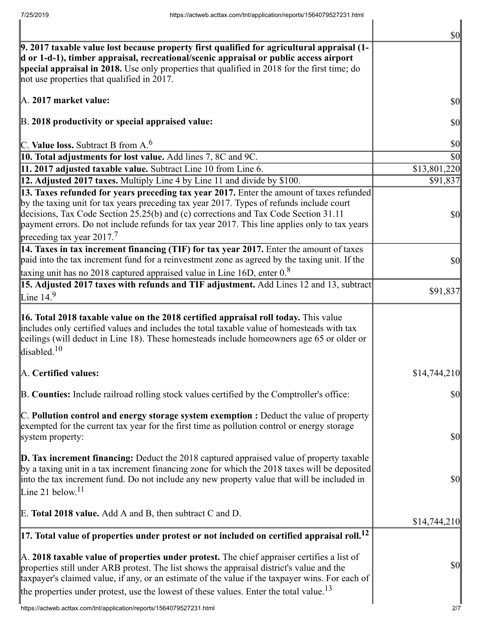|                                                                                                                                                                                                                                                                                                                                                                                                  | $\vert \mathbf{S} \mathbf{0} \vert$ |
|--------------------------------------------------------------------------------------------------------------------------------------------------------------------------------------------------------------------------------------------------------------------------------------------------------------------------------------------------------------------------------------------------|-------------------------------------|
| 9. 2017 taxable value lost because property first qualified for agricultural appraisal (1-<br>d or 1-d-1), timber appraisal, recreational/scenic appraisal or public access airport                                                                                                                                                                                                              |                                     |
| special appraisal in 2018. Use only properties that qualified in 2018 for the first time; do<br>not use properties that qualified in 2017.                                                                                                                                                                                                                                                       |                                     |
| A. 2017 market value:                                                                                                                                                                                                                                                                                                                                                                            | $\vert \$\text{O}\vert$             |
| B. 2018 productivity or special appraised value:                                                                                                                                                                                                                                                                                                                                                 | \$0                                 |
| C. Value loss. Subtract B from $A6$                                                                                                                                                                                                                                                                                                                                                              | \$0                                 |
| 10. Total adjustments for lost value. Add lines 7, 8C and 9C.                                                                                                                                                                                                                                                                                                                                    | \$0                                 |
| 11. 2017 adjusted taxable value. Subtract Line 10 from Line 6.                                                                                                                                                                                                                                                                                                                                   | \$13,801,220                        |
| 12. Adjusted 2017 taxes. Multiply Line 4 by Line 11 and divide by \$100.                                                                                                                                                                                                                                                                                                                         | \$91,837                            |
| 13. Taxes refunded for years preceding tax year 2017. Enter the amount of taxes refunded                                                                                                                                                                                                                                                                                                         |                                     |
| by the taxing unit for tax years preceding tax year 2017. Types of refunds include court                                                                                                                                                                                                                                                                                                         |                                     |
| decisions, Tax Code Section 25.25(b) and (c) corrections and Tax Code Section 31.11                                                                                                                                                                                                                                                                                                              | $\sqrt{50}$                         |
| payment errors. Do not include refunds for tax year 2017. This line applies only to tax years                                                                                                                                                                                                                                                                                                    |                                     |
| preceding tax year 2017. <sup>7</sup>                                                                                                                                                                                                                                                                                                                                                            |                                     |
| 14. Taxes in tax increment financing (TIF) for tax year 2017. Enter the amount of taxes                                                                                                                                                                                                                                                                                                          |                                     |
| paid into the tax increment fund for a reinvestment zone as agreed by the taxing unit. If the                                                                                                                                                                                                                                                                                                    | $\vert \$\text{O}\vert$             |
| taxing unit has no 2018 captured appraised value in Line 16D, enter $0.8$                                                                                                                                                                                                                                                                                                                        |                                     |
| 15. Adjusted 2017 taxes with refunds and TIF adjustment. Add Lines 12 and 13, subtract                                                                                                                                                                                                                                                                                                           | \$91,837                            |
| Line 14. $9$                                                                                                                                                                                                                                                                                                                                                                                     |                                     |
| 16. Total 2018 taxable value on the 2018 certified appraisal roll today. This value<br>includes only certified values and includes the total taxable value of homesteads with tax<br>ceilings (will deduct in Line 18). These homesteads include homeowners age 65 or older or<br>disabled. $10$                                                                                                 |                                     |
| A. Certified values:                                                                                                                                                                                                                                                                                                                                                                             | \$14,744,210                        |
| B. Counties: Include railroad rolling stock values certified by the Comptroller's office:                                                                                                                                                                                                                                                                                                        | $\vert \$\text{O}\vert$             |
| $\mathbb C$ . Pollution control and energy storage system exemption : Deduct the value of property                                                                                                                                                                                                                                                                                               |                                     |
| exempted for the current tax year for the first time as pollution control or energy storage<br>system property:                                                                                                                                                                                                                                                                                  | $\vert \mathbf{S} \mathbf{0} \vert$ |
|                                                                                                                                                                                                                                                                                                                                                                                                  |                                     |
| <b>D. Tax increment financing:</b> Deduct the $2018$ captured appraised value of property taxable<br>by a taxing unit in a tax increment financing zone for which the 2018 taxes will be deposited<br>into the tax increment fund. Do not include any new property value that will be included in<br>Line 21 below. <sup>11</sup>                                                                | $\vert \$\text{O}\vert$             |
| E. Total 2018 value. Add A and B, then subtract C and D.                                                                                                                                                                                                                                                                                                                                         | \$14,744,210                        |
| $\left 17.\right.$ Total value of properties under protest or not included on certified appraisal roll. $^{12}$                                                                                                                                                                                                                                                                                  |                                     |
| A. 2018 taxable value of properties under protest. The chief appraiser certifies a list of<br>properties still under ARB protest. The list shows the appraisal district's value and the<br>taxpayer's claimed value, if any, or an estimate of the value if the taxpayer wins. For each of<br>the properties under protest, use the lowest of these values. Enter the total value. <sup>13</sup> | $\vert \mathbf{S} \mathbf{0} \vert$ |
| https://actweb.acttax.com/tnt/application/reports/1564079527231.html                                                                                                                                                                                                                                                                                                                             | 2/7                                 |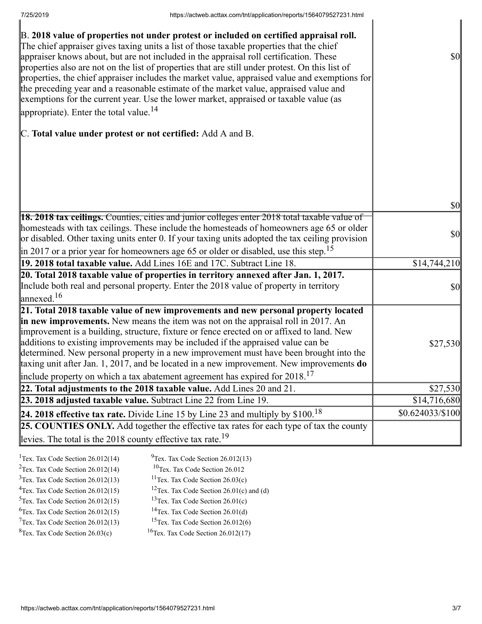| B. 2018 value of properties not under protest or included on certified appraisal roll.<br>The chief appraiser gives taxing units a list of those taxable properties that the chief<br>appraiser knows about, but are not included in the appraisal roll certification. These<br>properties also are not on the list of properties that are still under protest. On this list of<br>properties, the chief appraiser includes the market value, appraised value and exemptions for<br>the preceding year and a reasonable estimate of the market value, appraised value and<br>exemptions for the current year. Use the lower market, appraised or taxable value (as<br>appropriate). Enter the total value. <sup>14</sup> | $\vert \mathbf{S} \mathbf{0} \vert$ |
|--------------------------------------------------------------------------------------------------------------------------------------------------------------------------------------------------------------------------------------------------------------------------------------------------------------------------------------------------------------------------------------------------------------------------------------------------------------------------------------------------------------------------------------------------------------------------------------------------------------------------------------------------------------------------------------------------------------------------|-------------------------------------|
| C. Total value under protest or not certified: Add A and B.                                                                                                                                                                                                                                                                                                                                                                                                                                                                                                                                                                                                                                                              |                                     |
|                                                                                                                                                                                                                                                                                                                                                                                                                                                                                                                                                                                                                                                                                                                          | \$0                                 |
| <b>18. 2018 tax ceilings.</b> Counties, cities and junior colleges enter 2018 total taxable value of                                                                                                                                                                                                                                                                                                                                                                                                                                                                                                                                                                                                                     |                                     |
| homesteads with tax ceilings. These include the homesteads of homeowners age 65 or older<br>or disabled. Other taxing units enter 0. If your taxing units adopted the tax ceiling provision<br>$\left  \text{in } 2017 \text{ or a prior year for home owners age 65 or older or disabled, use this step.} \right $                                                                                                                                                                                                                                                                                                                                                                                                      | \$0                                 |
| 19. 2018 total taxable value. Add Lines 16E and 17C. Subtract Line 18.                                                                                                                                                                                                                                                                                                                                                                                                                                                                                                                                                                                                                                                   | \$14,744,210                        |
| 20. Total 2018 taxable value of properties in territory annexed after Jan. 1, 2017.                                                                                                                                                                                                                                                                                                                                                                                                                                                                                                                                                                                                                                      |                                     |
| Include both real and personal property. Enter the 2018 value of property in territory<br>$\lvert$ annexed. <sup>16</sup>                                                                                                                                                                                                                                                                                                                                                                                                                                                                                                                                                                                                | \$0                                 |
| 21. Total 2018 taxable value of new improvements and new personal property located<br>in new improvements. New means the item was not on the appraisal roll in 2017. An<br>improvement is a building, structure, fixture or fence erected on or affixed to land. New<br>additions to existing improvements may be included if the appraised value can be<br>determined. New personal property in a new improvement must have been brought into the<br>taxing unit after Jan. 1, 2017, and be located in a new improvement. New improvements do<br>include property on which a tax abatement agreement has expired for $2018$ . <sup>17</sup>                                                                             | \$27,530                            |
| 22. Total adjustments to the 2018 taxable value. Add Lines 20 and 21.                                                                                                                                                                                                                                                                                                                                                                                                                                                                                                                                                                                                                                                    | \$27,530                            |
| 23. 2018 adjusted taxable value. Subtract Line 22 from Line 19.                                                                                                                                                                                                                                                                                                                                                                                                                                                                                                                                                                                                                                                          | \$14,716,680                        |
| 24. 2018 effective tax rate. Divide Line 15 by Line 23 and multiply by $$100.18$                                                                                                                                                                                                                                                                                                                                                                                                                                                                                                                                                                                                                                         | $$0.624033\%100$                    |
| 25. COUNTIES ONLY. Add together the effective tax rates for each type of tax the county                                                                                                                                                                                                                                                                                                                                                                                                                                                                                                                                                                                                                                  |                                     |
| levies. The total is the 2018 county effective tax rate. <sup>19</sup>                                                                                                                                                                                                                                                                                                                                                                                                                                                                                                                                                                                                                                                   |                                     |
|                                                                                                                                                                                                                                                                                                                                                                                                                                                                                                                                                                                                                                                                                                                          |                                     |

| <sup>1</sup> Tex. Tax Code Section $26.012(14)$ | $^{9}$ Tex. Tax Code Section 26.012(13)              |
|-------------------------------------------------|------------------------------------------------------|
| <sup>2</sup> Tex. Tax Code Section $26.012(14)$ | <sup>10</sup> Tex. Tax Code Section 26.012           |
| $3$ Tex. Tax Code Section 26.012(13)            | <sup>11</sup> Tex. Tax Code Section $26.03(c)$       |
| $4$ Tex. Tax Code Section 26.012(15)            | <sup>12</sup> Tex. Tax Code Section 26.01(c) and (d) |
| $5$ Tex. Tax Code Section 26.012(15)            | <sup>13</sup> Tex. Tax Code Section $26.01(c)$       |
| ${}^{6}$ Tex. Tax Code Section 26.012(15)       | <sup>14</sup> Tex. Tax Code Section $26.01(d)$       |
| $7$ Tex. Tax Code Section 26.012(13)            | <sup>15</sup> Tex. Tax Code Section $26.012(6)$      |
| ${}^{8}$ Tex. Tax Code Section 26.03(c)         | <sup>16</sup> Tex. Tax Code Section $26.012(17)$     |
|                                                 |                                                      |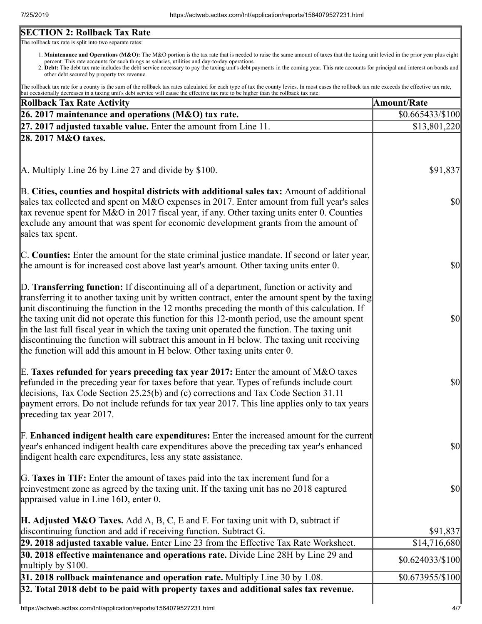# **SECTION 2: Rollback Tax Rate**

The rollback tax rate is split into two separate rates:

- 1. Maintenance and Operations (M&O): The M&O portion is the tax rate that is needed to raise the same amount of taxes that the taxing unit levied in the prior year plus eight percent. This rate accounts for such things as salaries, utilities and day-to-day operations.
- 2. Debt: The debt tax rate includes the debt service necessary to pay the taxing unit's debt payments in the coming year. This rate accounts for principal and interest on bonds and other debt secured by property tax revenue.

The rollback tax rate for a county is the sum of the rollback tax rates calculated for each type of tax the county levies. In most cases the rollback tax rate exceeds the effective tax rate, but occasionally decreases in a taxing unit's debt service will cause the effective tax rate to be higher than the rollback tax rate.

| Rollback Tax Rate Activity                                                                                                                                                                                                                                                                                                                                                                                                                                                                                                                                                                                                                                              | <b>Amount/Rate</b> |
|-------------------------------------------------------------------------------------------------------------------------------------------------------------------------------------------------------------------------------------------------------------------------------------------------------------------------------------------------------------------------------------------------------------------------------------------------------------------------------------------------------------------------------------------------------------------------------------------------------------------------------------------------------------------------|--------------------|
| 26. 2017 maintenance and operations (M&O) tax rate.                                                                                                                                                                                                                                                                                                                                                                                                                                                                                                                                                                                                                     | \$0.665433/\$100   |
| $[27, 2017]$ adjusted taxable value. Enter the amount from Line 11.                                                                                                                                                                                                                                                                                                                                                                                                                                                                                                                                                                                                     | \$13,801,220       |
| 28. 2017 M&O taxes.                                                                                                                                                                                                                                                                                                                                                                                                                                                                                                                                                                                                                                                     |                    |
|                                                                                                                                                                                                                                                                                                                                                                                                                                                                                                                                                                                                                                                                         |                    |
| A. Multiply Line 26 by Line 27 and divide by \$100.                                                                                                                                                                                                                                                                                                                                                                                                                                                                                                                                                                                                                     | \$91,837           |
| B. Cities, counties and hospital districts with additional sales tax: Amount of additional<br>sales tax collected and spent on M&O expenses in 2017. Enter amount from full year's sales<br>tax revenue spent for M&O in 2017 fiscal year, if any. Other taxing units enter 0. Counties<br>exclude any amount that was spent for economic development grants from the amount of<br>sales tax spent.                                                                                                                                                                                                                                                                     | $ 10\rangle$       |
| C. Counties: Enter the amount for the state criminal justice mandate. If second or later year,<br>the amount is for increased cost above last year's amount. Other taxing units enter 0.                                                                                                                                                                                                                                                                                                                                                                                                                                                                                | $ 10\rangle$       |
| D. Transferring function: If discontinuing all of a department, function or activity and<br>transferring it to another taxing unit by written contract, enter the amount spent by the taxing<br>unit discontinuing the function in the 12 months preceding the month of this calculation. If<br>the taxing unit did not operate this function for this 12-month period, use the amount spent<br>in the last full fiscal year in which the taxing unit operated the function. The taxing unit<br>discontinuing the function will subtract this amount in H below. The taxing unit receiving<br>the function will add this amount in H below. Other taxing units enter 0. | $ 10\rangle$       |
| E. Taxes refunded for years preceding tax year 2017: Enter the amount of M&O taxes<br>refunded in the preceding year for taxes before that year. Types of refunds include court<br>decisions, Tax Code Section 25.25(b) and (c) corrections and Tax Code Section 31.11<br>payment errors. Do not include refunds for tax year 2017. This line applies only to tax years<br>preceding tax year 2017.                                                                                                                                                                                                                                                                     | \$0                |
| <b>F. Enhanced indigent health care expenditures:</b> Enter the increased amount for the current<br>year's enhanced indigent health care expenditures above the preceding tax year's enhanced<br>indigent health care expenditures, less any state assistance.                                                                                                                                                                                                                                                                                                                                                                                                          | \$0                |
| G. Taxes in TIF: Enter the amount of taxes paid into the tax increment fund for a<br>reinvestment zone as agreed by the taxing unit. If the taxing unit has no 2018 captured<br>appraised value in Line 16D, enter 0.                                                                                                                                                                                                                                                                                                                                                                                                                                                   | \$0                |
| <b>H. Adjusted M&amp;O Taxes.</b> Add A, B, C, E and F. For taxing unit with D, subtract if<br>discontinuing function and add if receiving function. Subtract G.                                                                                                                                                                                                                                                                                                                                                                                                                                                                                                        | \$91,837           |
| 29. 2018 adjusted taxable value. Enter Line 23 from the Effective Tax Rate Worksheet.                                                                                                                                                                                                                                                                                                                                                                                                                                                                                                                                                                                   | \$14,716,680       |
| 30. 2018 effective maintenance and operations rate. Divide Line 28H by Line 29 and                                                                                                                                                                                                                                                                                                                                                                                                                                                                                                                                                                                      | \$0.624033/\$100   |
| multiply by $$100$ .                                                                                                                                                                                                                                                                                                                                                                                                                                                                                                                                                                                                                                                    |                    |
| $31.2018$ rollback maintenance and operation rate. Multiply Line 30 by 1.08.<br>32. Total 2018 debt to be paid with property taxes and additional sales tax revenue.                                                                                                                                                                                                                                                                                                                                                                                                                                                                                                    | \$0.673955/\$100   |
|                                                                                                                                                                                                                                                                                                                                                                                                                                                                                                                                                                                                                                                                         |                    |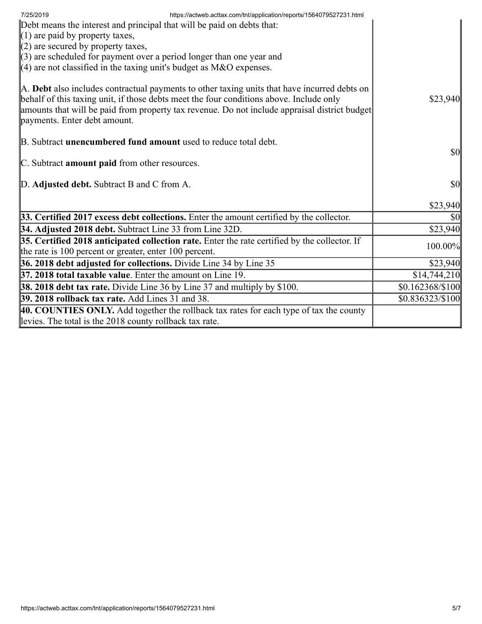| https://actweb.acttax.com/tnt/application/reports/1564079527231.html<br>7/25/2019                                                                                                                                                                                                                                        |                                     |
|--------------------------------------------------------------------------------------------------------------------------------------------------------------------------------------------------------------------------------------------------------------------------------------------------------------------------|-------------------------------------|
| Debt means the interest and principal that will be paid on debts that:                                                                                                                                                                                                                                                   |                                     |
| $(1)$ are paid by property taxes,                                                                                                                                                                                                                                                                                        |                                     |
| $(2)$ are secured by property taxes,                                                                                                                                                                                                                                                                                     |                                     |
| $(3)$ are scheduled for payment over a period longer than one year and                                                                                                                                                                                                                                                   |                                     |
| (4) are not classified in the taxing unit's budget as $M&O$ expenses.                                                                                                                                                                                                                                                    |                                     |
| A. Debt also includes contractual payments to other taxing units that have incurred debts on<br>behalf of this taxing unit, if those debts meet the four conditions above. Include only<br>amounts that will be paid from property tax revenue. Do not include appraisal district budget<br>payments. Enter debt amount. | \$23,940                            |
| B. Subtract unencumbered fund amount used to reduce total debt.                                                                                                                                                                                                                                                          |                                     |
|                                                                                                                                                                                                                                                                                                                          | <b>\$0</b>                          |
| C. Subtract amount paid from other resources.                                                                                                                                                                                                                                                                            |                                     |
|                                                                                                                                                                                                                                                                                                                          |                                     |
| D. Adjusted debt. Subtract B and C from A.                                                                                                                                                                                                                                                                               | $\vert \mathbf{S} \mathbf{O} \vert$ |
|                                                                                                                                                                                                                                                                                                                          |                                     |
|                                                                                                                                                                                                                                                                                                                          | \$23,940                            |
| 33. Certified 2017 excess debt collections. Enter the amount certified by the collector.                                                                                                                                                                                                                                 | \$0                                 |
| 34. Adjusted 2018 debt. Subtract Line 33 from Line 32D.                                                                                                                                                                                                                                                                  | \$23,940                            |
| $35.$ Certified 2018 anticipated collection rate. Enter the rate certified by the collector. If                                                                                                                                                                                                                          | 100.00%                             |
| the rate is 100 percent or greater, enter 100 percent.                                                                                                                                                                                                                                                                   |                                     |
| 36. 2018 debt adjusted for collections. Divide Line 34 by Line 35                                                                                                                                                                                                                                                        | \$23,940                            |
| $\vert$ 37. 2018 total taxable value. Enter the amount on Line 19.                                                                                                                                                                                                                                                       | \$14,744,210                        |
| <b>38. 2018 debt tax rate.</b> Divide Line 36 by Line 37 and multiply by \$100.                                                                                                                                                                                                                                          | $$0.162368/\$100$                   |
| 39. 2018 rollback tax rate. Add Lines 31 and 38.                                                                                                                                                                                                                                                                         | \$0.836323/\$100                    |
| 40. COUNTIES ONLY. Add together the rollback tax rates for each type of tax the county                                                                                                                                                                                                                                   |                                     |
| levies. The total is the 2018 county rollback tax rate.                                                                                                                                                                                                                                                                  |                                     |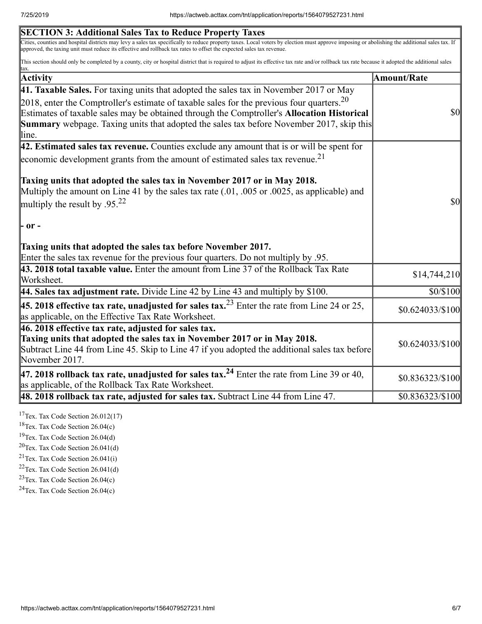| <b>SECTION 3: Additional Sales Tax to Reduce Property Taxes</b>                                                                                                                                                                                                                                                                                                                                               |                    |
|---------------------------------------------------------------------------------------------------------------------------------------------------------------------------------------------------------------------------------------------------------------------------------------------------------------------------------------------------------------------------------------------------------------|--------------------|
| Cities, counties and hospital districts may levy a sales tax specifically to reduce property taxes. Local voters by election must approve imposing or abolishing the additional sales tax. If<br>approved, the taxing unit must reduce its effective and rollback tax rates to offset the expected sales tax revenue.                                                                                         |                    |
| This section should only be completed by a county, city or hospital district that is required to adjust its effective tax rate and/or rollback tax rate because it adopted the additional sales<br>tax.                                                                                                                                                                                                       |                    |
| <b>Activity</b>                                                                                                                                                                                                                                                                                                                                                                                               | <b>Amount/Rate</b> |
| 41. Taxable Sales. For taxing units that adopted the sales tax in November 2017 or May                                                                                                                                                                                                                                                                                                                        |                    |
| 2018, enter the Comptroller's estimate of taxable sales for the previous four quarters. $20$<br>Estimates of taxable sales may be obtained through the Comptroller's Allocation Historical<br><b>Summary</b> webpage. Taxing units that adopted the sales tax before November 2017, skip this<br>line.                                                                                                        | <b>\$0</b>         |
| $\vert$ 42. Estimated sales tax revenue. Counties exclude any amount that is or will be spent for                                                                                                                                                                                                                                                                                                             |                    |
| economic development grants from the amount of estimated sales tax revenue. <sup>21</sup>                                                                                                                                                                                                                                                                                                                     |                    |
| Taxing units that adopted the sales tax in November 2017 or in May 2018.<br>Multiply the amount on Line 41 by the sales tax rate (.01, .005 or .0025, as applicable) and<br>multiply the result by .95. <sup>22</sup><br>$\mathsf{P}$ or $\mathsf{P}$<br>Taxing units that adopted the sales tax before November 2017.<br>Enter the sales tax revenue for the previous four quarters. Do not multiply by .95. | $\frac{1}{2}$      |
| 43. 2018 total taxable value. Enter the amount from Line 37 of the Rollback Tax Rate<br>Worksheet.                                                                                                                                                                                                                                                                                                            | \$14,744,210       |
| 44. Sales tax adjustment rate. Divide Line 42 by Line 43 and multiply by \$100.                                                                                                                                                                                                                                                                                                                               | \$0/\$100          |
| <b>45. 2018 effective tax rate, unadjusted for sales tax.</b> <sup>23</sup> Enter the rate from Line 24 or 25,<br>as applicable, on the Effective Tax Rate Worksheet.                                                                                                                                                                                                                                         | $$0.624033\%100$   |
| $ 46.2018$ effective tax rate, adjusted for sales tax.<br>Taxing units that adopted the sales tax in November 2017 or in May 2018.<br>Subtract Line 44 from Line 45. Skip to Line 47 if you adopted the additional sales tax before<br>November 2017.                                                                                                                                                         | $$0.624033\%100$   |
| 47. 2018 rollback tax rate, unadjusted for sales tax. <sup>24</sup> Enter the rate from Line 39 or 40,<br>as applicable, of the Rollback Tax Rate Worksheet.                                                                                                                                                                                                                                                  | \$0.836323/\$100   |
| $\vert$ 48. 2018 rollback tax rate, adjusted for sales tax. Subtract Line 44 from Line 47.                                                                                                                                                                                                                                                                                                                    | \$0.836323/\$100   |
|                                                                                                                                                                                                                                                                                                                                                                                                               |                    |

<sup>17</sup>Tex. Tax Code Section  $26.012(17)$ 

<sup>18</sup>Tex. Tax Code Section  $26.04(c)$ 

<sup>19</sup>Tex. Tax Code Section 26.04(d)

 $20$ Tex. Tax Code Section 26.041(d)

 $21$ Tex. Tax Code Section 26.041(i)

 $22$ Tex. Tax Code Section 26.041(d)

<sup>23</sup>Tex. Tax Code Section  $26.04(c)$ 

 $24$ Tex. Tax Code Section 26.04(c)